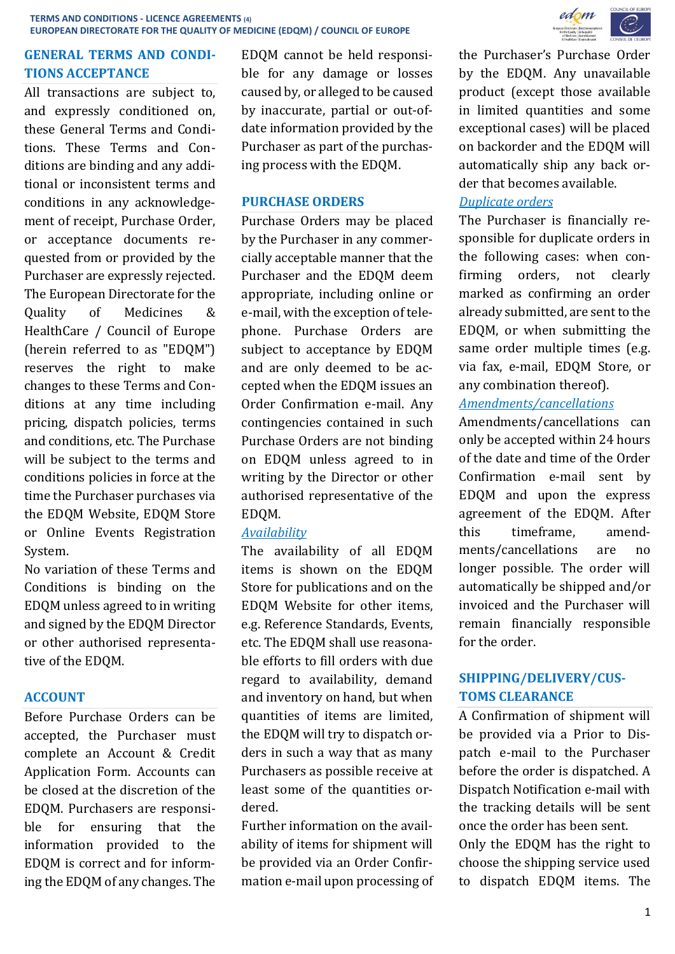## **GENERAL TERMS AND CONDI-TIONS ACCEPTANCE**

All transactions are subject to, and expressly conditioned on, these General Terms and Conditions. These Terms and Conditions are binding and any additional or inconsistent terms and conditions in any acknowledgement of receipt, Purchase Order, or acceptance documents requested from or provided by the Purchaser are expressly rejected. The European Directorate for the Quality of Medicines & HealthCare / Council of Europe (herein referred to as "EDQM") reserves the right to make changes to these Terms and Conditions at any time including pricing, dispatch policies, terms and conditions, etc. The Purchase will be subject to the terms and conditions policies in force at the time the Purchaser purchases via the EDQM Website, EDQM Store or Online Events Registration System.

No variation of these Terms and Conditions is binding on the EDQM unless agreed to in writing and signed by the EDQM Director or other authorised representative of the EDQM.

### **ACCOUNT**

Before Purchase Orders can be accepted, the Purchaser must complete an Account & Credit Application Form. Accounts can be closed at the discretion of the EDQM. Purchasers are responsible for ensuring that the information provided to the EDQM is correct and for informing the EDQM of any changes. The

EDQM cannot be held responsible for any damage or losses caused by, or alleged to be caused by inaccurate, partial or out-ofdate information provided by the Purchaser as part of the purchasing process with the EDQM.

### **PURCHASE ORDERS**

Purchase Orders may be placed by the Purchaser in any commercially acceptable manner that the Purchaser and the EDQM deem appropriate, including online or e-mail, with the exception of telephone. Purchase Orders are subject to acceptance by EDQM and are only deemed to be accepted when the EDQM issues an Order Confirmation e-mail. Any contingencies contained in such Purchase Orders are not binding on EDQM unless agreed to in writing by the Director or other authorised representative of the EDQM.

# *Availability*

The availability of all EDQM items is shown on the EDQM Store for publications and on the EDQM Website for other items, e.g. Reference Standards, Events, etc. The EDQM shall use reasonable efforts to fill orders with due regard to availability, demand and inventory on hand, but when quantities of items are limited, the EDQM will try to dispatch orders in such a way that as many Purchasers as possible receive at least some of the quantities ordered.

Further information on the availability of items for shipment will be provided via an Order Confirmation e-mail upon processing of



the Purchaser's Purchase Order by the EDQM. Any unavailable product (except those available in limited quantities and some exceptional cases) will be placed on backorder and the EDQM will automatically ship any back order that becomes available.

## *Duplicate orders*

The Purchaser is financially responsible for duplicate orders in the following cases: when confirming orders, not clearly marked as confirming an order already submitted, are sent to the EDQM, or when submitting the same order multiple times (e.g. via fax, e-mail, EDQM Store, or any combination thereof).

## *Amendments/cancellations*

Amendments/cancellations can only be accepted within 24 hours of the date and time of the Order Confirmation e-mail sent by EDQM and upon the express agreement of the EDQM. After this timeframe, amendments/cancellations are no longer possible. The order will automatically be shipped and/or invoiced and the Purchaser will remain financially responsible for the order.

# **SHIPPING/DELIVERY/CUS-TOMS CLEARANCE**

A Confirmation of shipment will be provided via a Prior to Dispatch e-mail to the Purchaser before the order is dispatched. A Dispatch Notification e-mail with the tracking details will be sent once the order has been sent.

Only the EDQM has the right to choose the shipping service used to dispatch EDQM items. The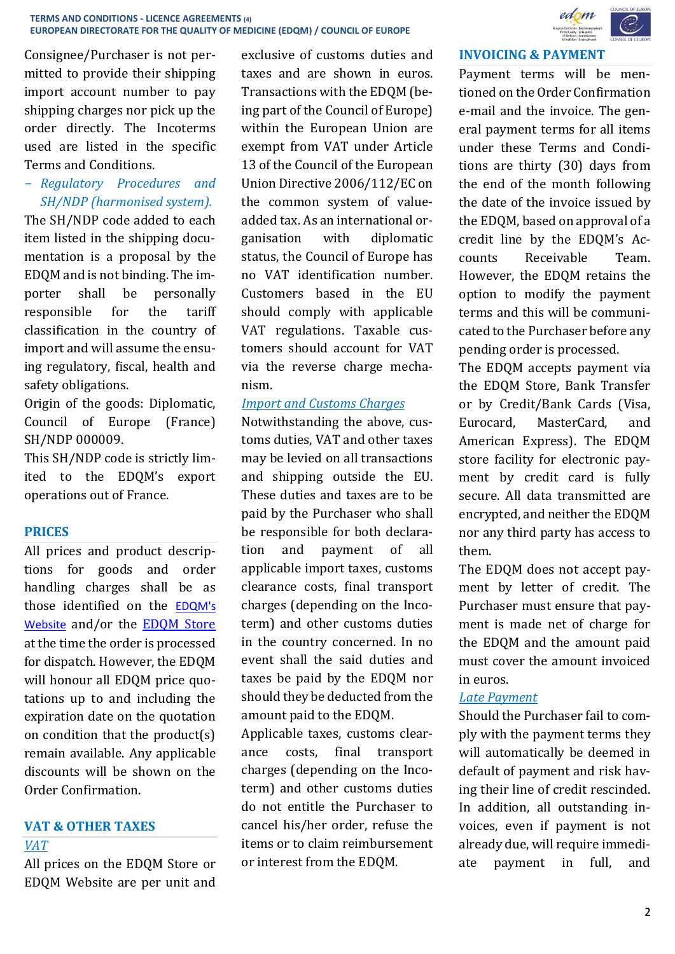Consignee/Purchaser is not permitted to provide their shipping import account number to pay shipping charges nor pick up the order directly. The Incoterms used are listed in the specific Terms and Conditions.

- *Regulatory Procedures and SH/NDP (harmonised system).*

The SH/NDP code added to each item listed in the shipping documentation is a proposal by the EDQM and is not binding. The importer shall be personally responsible for the tariff classification in the country of import and will assume the ensuing regulatory, fiscal, health and safety obligations.

Origin of the goods: Diplomatic, Council of Europe (France) SH/NDP 000009.

This SH/NDP code is strictly limited to the EDQM's export operations out of France.

### **PRICES**

All prices and product descriptions for goods and order handling charges shall be as those identified on the [EDQM's](http://www.edqm.eu/)  [Website](http://www.edqm.eu/) and/or the [EDQM Store](https://store.edqm.eu/index.html) at the time the order is processed for dispatch. However, the EDQM will honour all EDOM price quotations up to and including the expiration date on the quotation on condition that the product(s) remain available. Any applicable discounts will be shown on the Order Confirmation.

# **VAT & OTHER TAXES**

#### *VAT*

All prices on the EDQM Store or EDQM Website are per unit and

exclusive of customs duties and taxes and are shown in euros. Transactions with the EDQM (being part of the Council of Europe) within the European Union are exempt from VAT under Article 13 of the Council of the European Union Directive 2006/112/EC on the common system of valueadded tax. As an international organisation with diplomatic status, the Council of Europe has no VAT identification number. Customers based in the EU should comply with applicable VAT regulations. Taxable customers should account for VAT via the reverse charge mechanism.

### *Import and Customs Charges*

Notwithstanding the above, customs duties, VAT and other taxes may be levied on all transactions and shipping outside the EU. These duties and taxes are to be paid by the Purchaser who shall be responsible for both declaration and payment of all applicable import taxes, customs clearance costs, final transport charges (depending on the Incoterm) and other customs duties in the country concerned. In no event shall the said duties and taxes be paid by the EDQM nor should they be deducted from the amount paid to the EDQM.

Applicable taxes, customs clearance costs, final transport charges (depending on the Incoterm) and other customs duties do not entitle the Purchaser to cancel his/her order, refuse the items or to claim reimbursement or interest from the EDQM.



#### **INVOICING & PAYMENT**

Payment terms will be mentioned on the Order Confirmation e-mail and the invoice. The general payment terms for all items under these Terms and Conditions are thirty (30) days from the end of the month following the date of the invoice issued by the EDQM, based on approval of a credit line by the EDQM's Accounts Receivable Team. However, the EDQM retains the option to modify the payment terms and this will be communicated to the Purchaser before any pending order is processed.

The EDQM accepts payment via the EDQM Store, Bank Transfer or by Credit/Bank Cards (Visa, Eurocard, MasterCard, and American Express). The EDQM store facility for electronic payment by credit card is fully secure. All data transmitted are encrypted, and neither the EDQM nor any third party has access to them.

The EDQM does not accept payment by letter of credit. The Purchaser must ensure that payment is made net of charge for the EDQM and the amount paid must cover the amount invoiced in euros.

### *Late Payment*

Should the Purchaser fail to comply with the payment terms they will automatically be deemed in default of payment and risk having their line of credit rescinded. In addition, all outstanding invoices, even if payment is not already due, will require immediate payment in full, and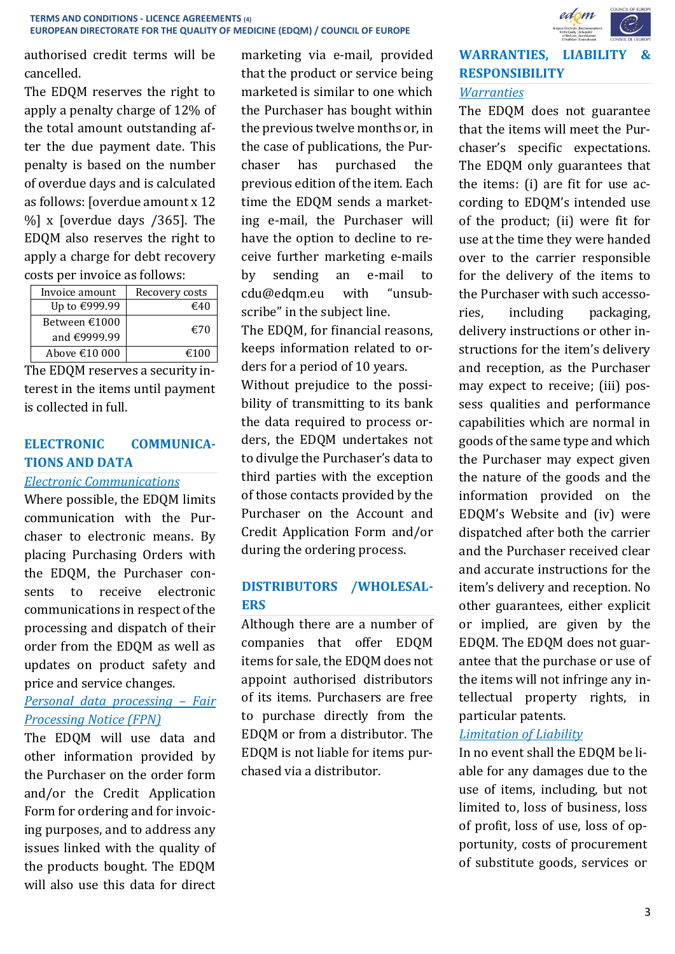authorised credit terms will be cancelled.

The EDQM reserves the right to apply a penalty charge of 12% of the total amount outstanding after the due payment date. This penalty is based on the number of overdue days and is calculated as follows: [overdue amount x 12 %] x [overdue days /365]. The EDQM also reserves the right to apply a charge for debt recovery costs per invoice as follows:

| Invoice amount          | Recovery costs |
|-------------------------|----------------|
| Up to €999.99           | €40            |
| Between €1000           | €70            |
| and €9999.99            |                |
| Above $\epsilon$ 10 000 | €100           |

The EDQM reserves a security interest in the items until payment is collected in full.

# **ELECTRONIC COMMUNICA-TIONS AND DATA**

#### *Electronic Communications*

Where possible, the EDQM limits communication with the Purchaser to electronic means. By placing Purchasing Orders with the EDQM, the Purchaser consents to receive electronic communications in respect of the processing and dispatch of their order from the EDQM as well as updates on product safety and price and service changes.

# *Personal data processing – Fair Processing Notice (FPN)*

The EDQM will use data and other information provided by the Purchaser on the order form and/or the Credit Application Form for ordering and for invoicing purposes, and to address any issues linked with the quality of the products bought. The EDQM will also use this data for direct

marketing via e-mail, provided that the product or service being marketed is similar to one which the Purchaser has bought within the previous twelve months or, in the case of publications, the Purchaser has purchased the previous edition of the item. Each time the EDQM sends a marketing e-mail, the Purchaser will have the option to decline to receive further marketing e-mails by sending an e-mail to [cdu@edqm.eu](mailto:data@edqm.eu) with "unsubscribe" in the subject line. The EDQM, for financial reasons, keeps information related to or-

ders for a period of 10 years. Without prejudice to the possibility of transmitting to its bank the data required to process orders, the EDQM undertakes not to divulge the Purchaser's data to third parties with the exception of those contacts provided by the Purchaser on the Account and Credit Application Form and/or during the ordering process.

# **DISTRIBUTORS /WHOLESAL-ERS**

Although there are a number of companies that offer EDQM items for sale, the EDQM does not appoint authorised distributors of its items. Purchasers are free to purchase directly from the EDQM or from a distributor. The EDQM is not liable for items purchased via a distributor.



# **WARRANTIES, LIABILITY & RESPONSIBILITY**

## *Warranties*

The EDQM does not guarantee that the items will meet the Purchaser's specific expectations. The EDQM only guarantees that the items: (i) are fit for use according to EDQM's intended use of the product; (ii) were fit for use at the time they were handed over to the carrier responsible for the delivery of the items to the Purchaser with such accessories, including packaging, delivery instructions or other instructions for the item's delivery and reception, as the Purchaser may expect to receive; (iii) possess qualities and performance capabilities which are normal in goods of the same type and which the Purchaser may expect given the nature of the goods and the information provided on the EDQM's Website and (iv) were dispatched after both the carrier and the Purchaser received clear and accurate instructions for the item's delivery and reception. No other guarantees, either explicit or implied, are given by the EDQM. The EDQM does not guarantee that the purchase or use of the items will not infringe any intellectual property rights, in particular patents.

### *Limitation of Liability*

In no event shall the EDQM be liable for any damages due to the use of items, including, but not limited to, loss of business, loss of profit, loss of use, loss of opportunity, costs of procurement of substitute goods, services or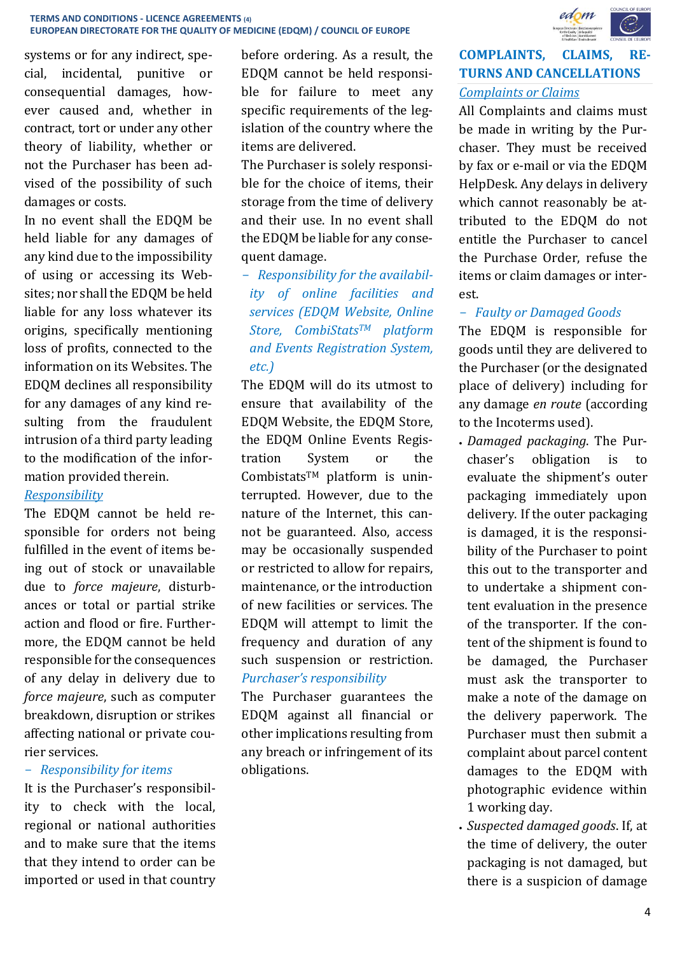systems or for any indirect, special, incidental, punitive or consequential damages, however caused and, whether in contract, tort or under any other theory of liability, whether or not the Purchaser has been advised of the possibility of such damages or costs.

In no event shall the EDQM be held liable for any damages of any kind due to the impossibility of using or accessing its Websites; nor shall the EDQM be held liable for any loss whatever its origins, specifically mentioning loss of profits, connected to the information on its Websites. The EDQM declines all responsibility for any damages of any kind resulting from the fraudulent intrusion of a third party leading to the modification of the information provided therein.

# *Responsibility*

The EDQM cannot be held responsible for orders not being fulfilled in the event of items being out of stock or unavailable due to *force majeure*, disturbances or total or partial strike action and flood or fire. Furthermore, the EDQM cannot be held responsible for the consequences of any delay in delivery due to *force majeure*, such as computer breakdown, disruption or strikes affecting national or private courier services.

### - *Responsibility for items*

It is the Purchaser's responsibility to check with the local, regional or national authorities and to make sure that the items that they intend to order can be imported or used in that country before ordering. As a result, the EDQM cannot be held responsible for failure to meet any specific requirements of the legislation of the country where the items are delivered.

The Purchaser is solely responsible for the choice of items, their storage from the time of delivery and their use. In no event shall the EDQM be liable for any consequent damage.

- *Responsibility for the availability of online facilities and services (EDQM Website, Online Store, CombiStatsTM platform and Events Registration System, etc.)*

The EDQM will do its utmost to ensure that availability of the EDQM Website, the EDQM Store, the EDQM Online Events Registration System or the CombistatsTM platform is uninterrupted. However, due to the nature of the Internet, this cannot be guaranteed. Also, access may be occasionally suspended or restricted to allow for repairs, maintenance, or the introduction of new facilities or services. The EDQM will attempt to limit the frequency and duration of any such suspension or restriction. *Purchaser's responsibility*

The Purchaser guarantees the EDQM against all financial or other implications resulting from any breach or infringement of its obligations.



# **COMPLAINTS, CLAIMS, RE-TURNS AND CANCELLATIONS** *Complaints or Claims*

All Complaints and claims must be made in writing by the Purchaser. They must be received by fax or e-mail or via the EDQM HelpDesk. Any delays in delivery which cannot reasonably be attributed to the EDQM do not entitle the Purchaser to cancel the Purchase Order, refuse the items or claim damages or interest.

# - *Faulty or Damaged Goods*

The EDQM is responsible for goods until they are delivered to the Purchaser (or the designated place of delivery) including for any damage *en route* (according to the Incoterms used).

- *Damaged packaging*. The Purchaser's obligation is to evaluate the shipment's outer packaging immediately upon delivery. If the outer packaging is damaged, it is the responsibility of the Purchaser to point this out to the transporter and to undertake a shipment content evaluation in the presence of the transporter. If the content of the shipment is found to be damaged, the Purchaser must ask the transporter to make a note of the damage on the delivery paperwork. The Purchaser must then submit a complaint about parcel content damages to the EDQM with photographic evidence within 1 working day.
- *Suspected damaged goods*. If, at the time of delivery, the outer packaging is not damaged, but there is a suspicion of damage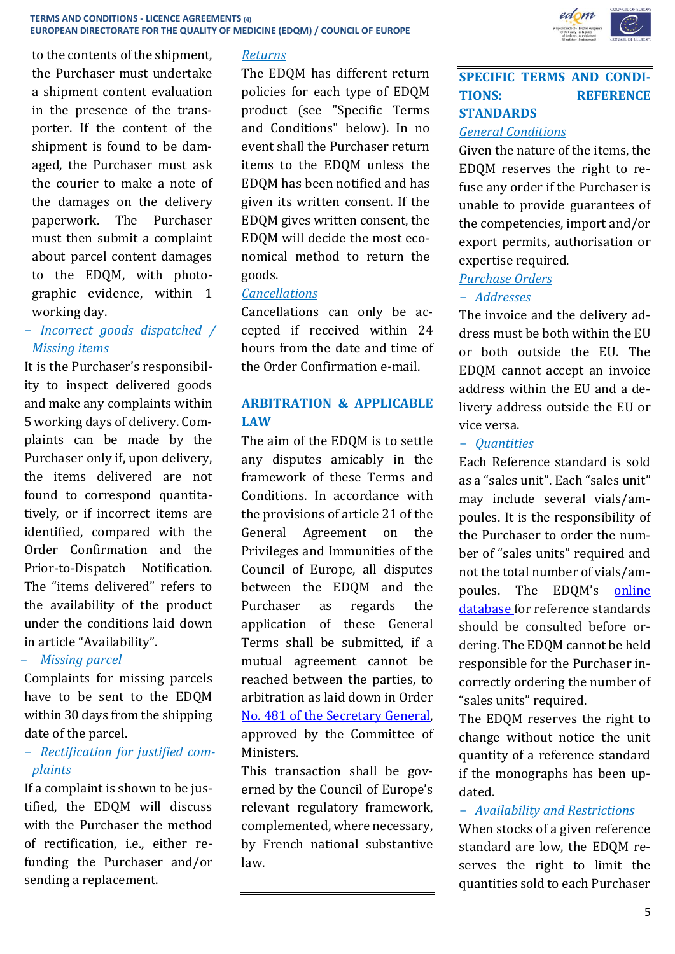to the contents of the shipment, the Purchaser must undertake a shipment content evaluation in the presence of the transporter. If the content of the shipment is found to be damaged, the Purchaser must ask the courier to make a note of the damages on the delivery paperwork. The Purchaser must then submit a complaint about parcel content damages to the EDQM, with photographic evidence, within 1 working day.

# - *Incorrect goods dispatched / Missing items*

It is the Purchaser's responsibility to inspect delivered goods and make any complaints within 5 working days of delivery. Complaints can be made by the Purchaser only if, upon delivery, the items delivered are not found to correspond quantitatively, or if incorrect items are identified, compared with the Order Confirmation and the Prior-to-Dispatch Notification. The "items delivered" refers to the availability of the product under the conditions laid down in article "Availability".

### - *Missing parcel*

Complaints for missing parcels have to be sent to the EDQM within 30 days from the shipping date of the parcel.

# - *Rectification for justified complaints*

If a complaint is shown to be justified, the EDQM will discuss with the Purchaser the method of rectification, i.e., either refunding the Purchaser and/or sending a replacement.

# *Returns*

The EDQM has different return policies for each type of EDQM product (see "Specific Terms and Conditions" below). In no event shall the Purchaser return items to the EDQM unless the EDQM has been notified and has given its written consent. If the EDQM gives written consent, the EDQM will decide the most economical method to return the goods.

### *Cancellations*

Cancellations can only be accepted if received within 24 hours from the date and time of the Order Confirmation e-mail.

# **ARBITRATION & APPLICABLE LAW**

The aim of the EDQM is to settle any disputes amicably in the framework of these Terms and Conditions. In accordance with the provisions of article 21 of the General Agreement on the Privileges and Immunities of the Council of Europe, all disputes between the EDQM and the Purchaser as regards the application of these General Terms shall be submitted, if a mutual agreement cannot be reached between the parties, to arbitration as laid down in Order [No. 481 of the Secretary General,](https://wcd.coe.int/ViewDoc.jsp?p=&id=1128483&Site=DGAL-CD&direct=true) approved by the Committee of Ministers.

This transaction shall be governed by the Council of Europe's relevant regulatory framework, complemented, where necessary, by French national substantive law.



### **SPECIFIC TERMS AND CONDI-TIONS: REFERENCE STANDARDS**

#### *General Conditions*

Given the nature of the items, the EDQM reserves the right to refuse any order if the Purchaser is unable to provide guarantees of the competencies, import and/or export permits, authorisation or expertise required.

#### *Purchase Orders*

### - *Addresses*

The invoice and the delivery address must be both within the EU or both outside the EU. The EDQM cannot accept an invoice address within the EU and a delivery address outside the EU or vice versa.

#### - *Quantities*

Each Reference standard is sold as a "sales unit". Each "sales unit" may include several vials/ampoules. It is the responsibility of the Purchaser to order the number of "sales units" required and not the total number of vials/ampoules. The EDQM's [online](http://crs.edqm.eu/)  [database f](http://crs.edqm.eu/)or reference standards should be consulted before ordering. The EDQM cannot be held responsible for the Purchaser incorrectly ordering the number of "sales units" required.

The EDQM reserves the right to change without notice the unit quantity of a reference standard if the monographs has been updated.

# - *Availability and Restrictions*

When stocks of a given reference standard are low, the EDQM reserves the right to limit the quantities sold to each Purchaser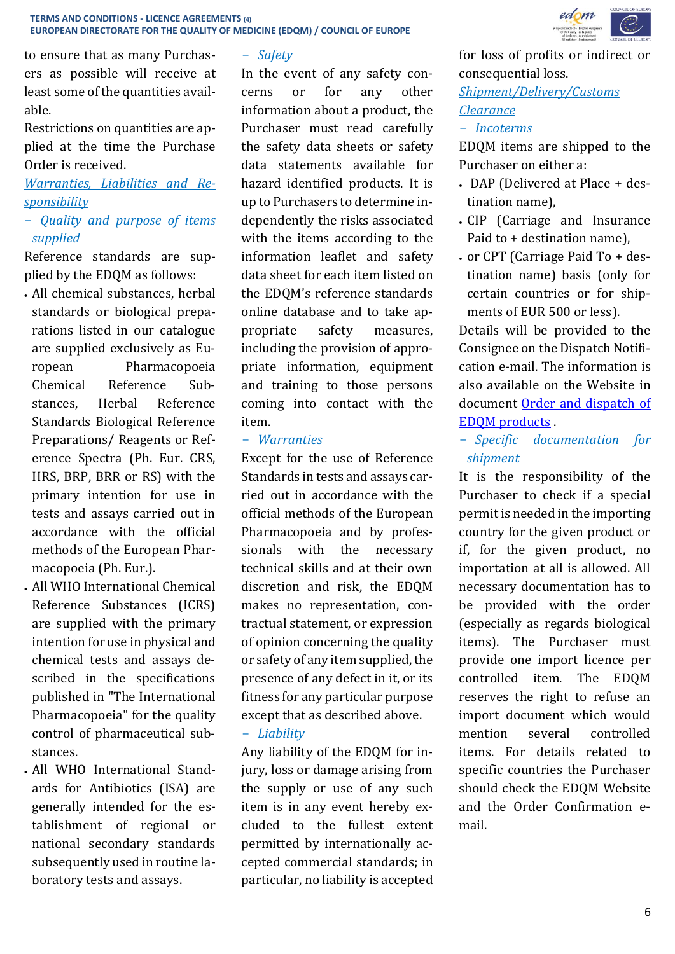to ensure that as many Purchasers as possible will receive at least some of the quantities available.

Restrictions on quantities are applied at the time the Purchase Order is received.

*Warranties, Liabilities and Responsibility*

## - *Quality and purpose of items supplied*

Reference standards are supplied by the EDQM as follows:

- All chemical substances, herbal standards or biological preparations listed in our catalogue are supplied exclusively as European Pharmacopoeia Chemical Reference Substances, Herbal Reference Standards Biological Reference Preparations/ Reagents or Reference Spectra (Ph. Eur. CRS, HRS, BRP, BRR or RS) with the primary intention for use in tests and assays carried out in accordance with the official methods of the European Pharmacopoeia (Ph. Eur.).
- All WHO International Chemical Reference Substances (ICRS) are supplied with the primary intention for use in physical and chemical tests and assays described in the specifications published in "The International Pharmacopoeia" for the quality control of pharmaceutical substances.
- All WHO International Standards for Antibiotics (ISA) are generally intended for the establishment of regional or national secondary standards subsequently used in routine laboratory tests and assays.

### - *Safety*

In the event of any safety concerns or for any other information about a product, the Purchaser must read carefully the safety data sheets or safety data statements available for hazard identified products. It is up to Purchasers to determine independently the risks associated with the items according to the information leaflet and safety data sheet for each item listed on the EDQM's reference standards [online database](http://crs.edqm.eu/) and to take appropriate safety measures, including the provision of appropriate information, equipment and training to those persons coming into contact with the item.

#### - *Warranties*

Except for the use of Reference Standards in tests and assays carried out in accordance with the official methods of the European Pharmacopoeia and by professionals with the necessary technical skills and at their own discretion and risk, the EDQM makes no representation, contractual statement, or expression of opinion concerning the quality or safety of any item supplied, the presence of any defect in it, or its fitness for any particular purpose except that as described above. - *Liability*

Any liability of the EDQM for injury, loss or damage arising from the supply or use of any such item is in any event hereby excluded to the fullest extent permitted by internationally accepted commercial standards; in particular, no liability is accepted



for loss of profits or indirect or consequential loss.

*Shipment/Delivery/Customs Clearance*

#### - *Incoterms*

EDQM items are shipped to the Purchaser on either a:

- DAP (Delivered at Place + destination name),
- CIP (Carriage and Insurance Paid to + destination name),
- or CPT (Carriage Paid To + destination name) basis (only for certain countries or for shipments of EUR 500 or less).

Details will be provided to the Consignee on the Dispatch Notification e-mail. The information is also available on the Website in document [Order and dispatch of](https://www.edqm.eu/en/ph-eur-reference-standards-orders-catalogue)  [EDQM products](https://www.edqm.eu/en/ph-eur-reference-standards-orders-catalogue) .

- *Specific documentation for shipment*

It is the responsibility of the Purchaser to check if a special permit is needed in the importing country for the given product or if, for the given product, no importation at all is allowed. All necessary documentation has to be provided with the order (especially as regards biological items). The Purchaser must provide one import licence per controlled item. The EDQM reserves the right to refuse an import document which would mention several controlled items. For details related to specific countries the Purchaser should check the EDQM Website and the Order Confirmation email.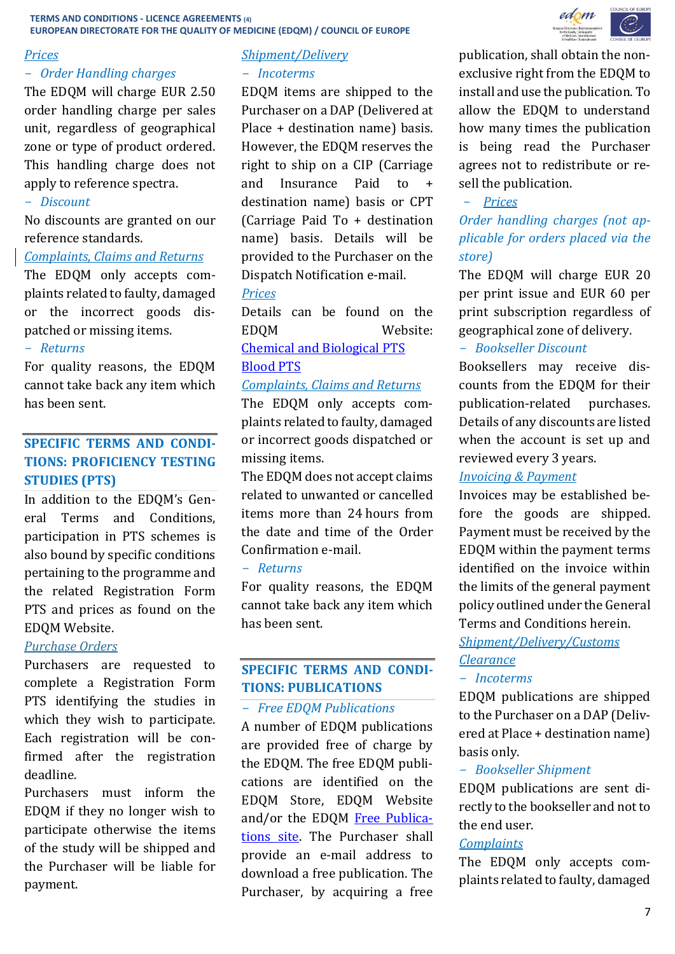### *Prices*

# - *Order Handling charges*

The EDQM will charge EUR 2.50 order handling charge per sales unit, regardless of geographical zone or type of product ordered. This handling charge does not apply to reference spectra.

#### - *Discount*

No discounts are granted on our reference standards.

#### *Complaints, Claims and Returns*

The EDQM only accepts complaints related to faulty, damaged or the incorrect goods dispatched or missing items.

#### - *Returns*

For quality reasons, the EDQM cannot take back any item which has been sent.

# **SPECIFIC TERMS AND CONDI-TIONS: PROFICIENCY TESTING STUDIES (PTS)**

In addition to the EDQM's General Terms and Conditions, participation in PTS schemes is also bound by specific conditions pertaining to the programme and the related Registration Form PTS and prices as found on the EDQM Website.

### *Purchase Orders*

Purchasers are requested to complete a Registration Form PTS identifying the studies in which they wish to participate. Each registration will be confirmed after the registration deadline.

Purchasers must inform the EDQM if they no longer wish to participate otherwise the items of the study will be shipped and the Purchaser will be liable for payment.

# *Shipment/Delivery*

#### - *Incoterms*

EDQM items are shipped to the Purchaser on a DAP (Delivered at Place + destination name) basis. However, the EDQM reserves the right to ship on a CIP (Carriage and Insurance Paid to destination name) basis or CPT (Carriage Paid To + destination name) basis. Details will be provided to the Purchaser on the Dispatch Notification e-mail.

#### *Prices*

Details can be found on the EDQM Website: [Chemical and Biological PTS](https://www.edqm.eu/en/physico-chemical-biological-PTS-96.html)

# [Blood PTS](https://www.edqm.eu/en/blood-proficiency-testing-scheme-b-pts-ordering-information)

#### *Complaints, Claims and Returns*

The EDQM only accepts complaints related to faulty, damaged or incorrect goods dispatched or missing items.

The EDQM does not accept claims related to unwanted or cancelled items more than 24 hours from the date and time of the Order Confirmation e-mail.

#### - *Returns*

For quality reasons, the EDQM cannot take back any item which has been sent.

## **SPECIFIC TERMS AND CONDI-TIONS: PUBLICATIONS**

#### - *Free EDQM Publications*

A number of EDQM publications are provided free of charge by the EDQM. The free EDQM publications are identified on the EDQM Store, EDQM Website and/or the EDQM [Free Publica](https://register.edqm.eu/freepub)[tions site.](https://register.edqm.eu/freepub) The Purchaser shall provide an e-mail address to download a free publication. The Purchaser, by acquiring a free



publication, shall obtain the nonexclusive right from the EDQM to install and use the publication. To allow the EDQM to understand how many times the publication is being read the Purchaser agrees not to redistribute or resell the publication.

#### - *Prices*

# *Order handling charges (not applicable for orders placed via the store)*

The EDQM will charge EUR 20 per print issue and EUR 60 per print subscription regardless of geographical zone of delivery.

#### - *Bookseller Discount*

Booksellers may receive discounts from the EDQM for their publication-related purchases. Details of any discounts are listed when the account is set up and reviewed every 3 years.

#### *Invoicing & Payment*

Invoices may be established before the goods are shipped. Payment must be received by the EDQM within the payment terms identified on the invoice within the limits of the general payment policy outlined under the General Terms and Conditions herein.

# *Shipment/Delivery/Customs Clearance*

### - *Incoterms*

EDQM publications are shipped to the Purchaser on a DAP (Delivered at Place + destination name) basis only.

#### - *Bookseller Shipment*

EDQM publications are sent directly to the bookseller and not to the end user.

#### *Complaints*

The EDQM only accepts complaints related to faulty, damaged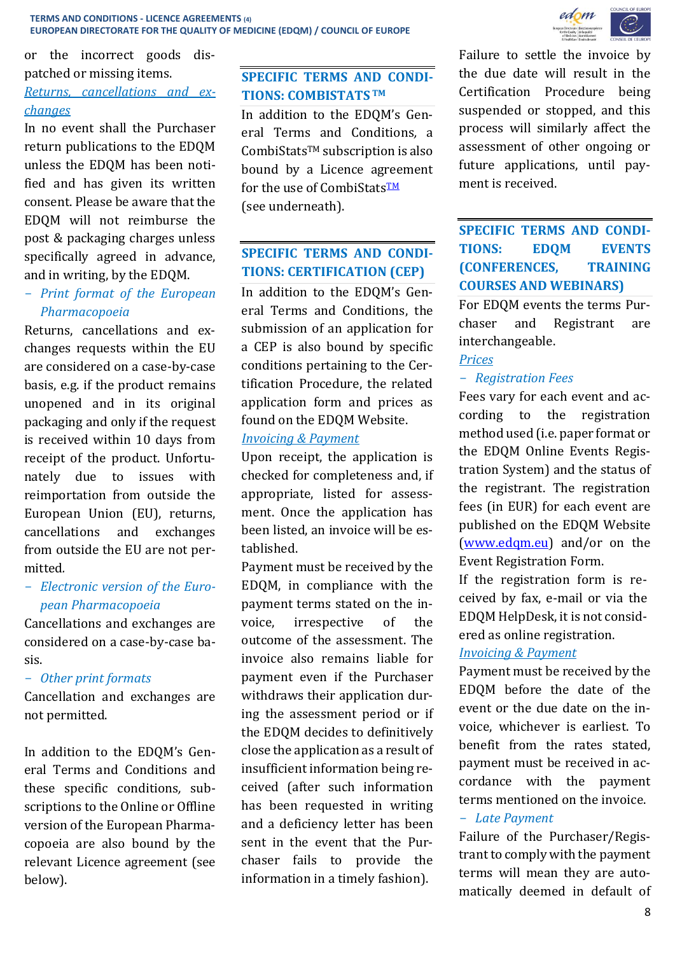or the incorrect goods dispatched or missing items.

# *Returns, cancellations and exchanges*

In no event shall the Purchaser return publications to the EDQM unless the EDQM has been notified and has given its written consent. Please be aware that the EDQM will not reimburse the post & packaging charges unless specifically agreed in advance, and in writing, by the EDQM.

# - *Print format of the European Pharmacopoeia*

Returns, cancellations and exchanges requests within the EU are considered on a case-by-case basis, e.g. if the product remains unopened and in its original packaging and only if the request is received within 10 days from receipt of the product. Unfortunately due to issues with reimportation from outside the European Union (EU), returns, cancellations and exchanges from outside the EU are not permitted*.*

# - *Electronic version of the European Pharmacopoeia*

Cancellations and exchanges are considered on a case-by-case basis.

### - *Other print formats*

Cancellation and exchanges are not permitted.

In addition to the EDQM's General Terms and Conditions and these specific conditions*,* subscriptions to the Online or Offline version of the European Pharmacopoeia are also bound by the relevant Licence agreement (see below).

# **SPECIFIC TERMS AND CONDI-TIONS: COMBISTATS TM**

In addition to the EDQM's General Terms and Conditions*,* a CombiStatsTM subscription is also bound by a Licence agreement for the use of CombiStats<sup>TM</sup> (see underneath).

# **SPECIFIC TERMS AND CONDI-TIONS: CERTIFICATION (CEP)**

In addition to the EDQM's General Terms and Conditions, the submission of an application for a CEP is also bound by specific conditions pertaining to the Certification Procedure, the related application form and prices as found on the EDQM Website.

#### *Invoicing & Payment*

Upon receipt, the application is checked for completeness and, if appropriate, listed for assessment. Once the application has been listed, an invoice will be established.

Payment must be received by the EDQM, in compliance with the payment terms stated on the invoice, irrespective of the outcome of the assessment. The invoice also remains liable for payment even if the Purchaser withdraws their application during the assessment period or if the EDQM decides to definitively close the application as a result of insufficient information being received (after such information has been requested in writing and a deficiency letter has been sent in the event that the Purchaser fails to provide the information in a timely fashion).



Failure to settle the invoice by the due date will result in the Certification Procedure being suspended or stopped, and this process will similarly affect the assessment of other ongoing or future applications, until payment is received.

# **SPECIFIC TERMS AND CONDI-TIONS: EDQM EVENTS (CONFERENCES, TRAINING COURSES AND WEBINARS)**

For EDQM events the terms Purchaser and Registrant are interchangeable.

## *Prices*

## - *Registration Fees*

Fees vary for each event and according to the registration method used (i.e. paper format or the EDQM Online Events Registration System) and the status of the registrant. The registration fees (in EUR) for each event are published on the EDQM Website [\(www.edqm.eu\)](http://www.edqm.eu/) and/or on the Event Registration Form.

If the registration form is received by fax, e-mail or via the EDQM HelpDesk, it is not considered as online registration.

### *Invoicing & Payment*

Payment must be received by the EDQM before the date of the event or the due date on the invoice, whichever is earliest. To benefit from the rates stated, payment must be received in accordance with the payment terms mentioned on the invoice.

### - *Late Payment*

Failure of the Purchaser/Registrant to comply with the payment terms will mean they are automatically deemed in default of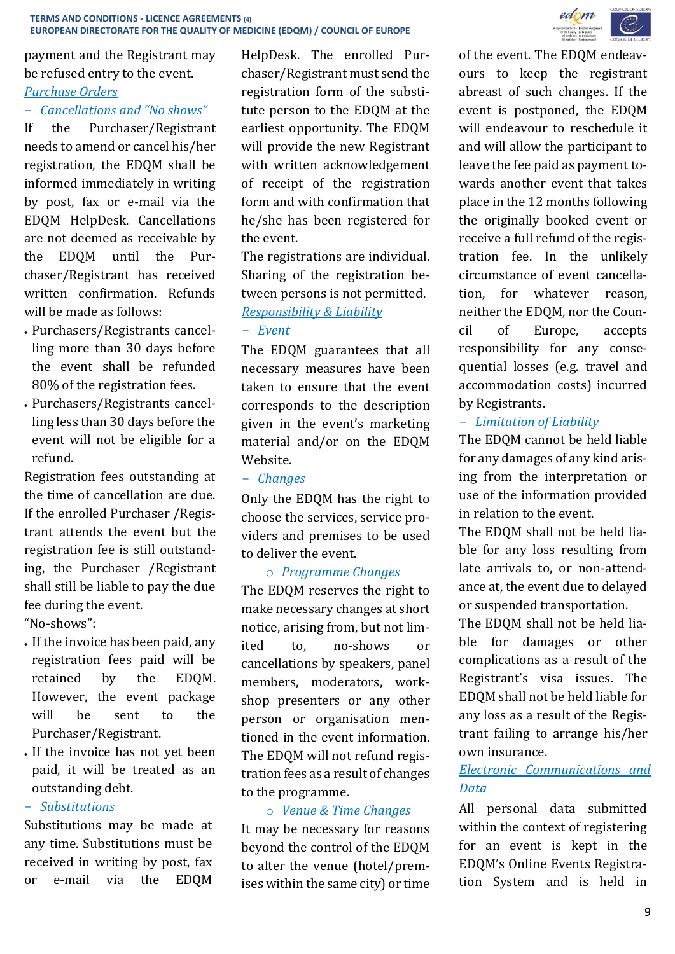payment and the Registrant may be refused entry to the event.

# *Purchase Orders*

#### - *Cancellations and "No shows"*

If the Purchaser/Registrant needs to amend or cancel his/her registration, the EDQM shall be informed immediately in writing by post, fax or e-mail via the EDQM HelpDesk. Cancellations are not deemed as receivable by the EDQM until the Purchaser/Registrant has received written confirmation. Refunds will be made as follows:

- Purchasers/Registrants cancelling more than 30 days before the event shall be refunded 80% of the registration fees.
- Purchasers/Registrants cancelling less than 30 days before the event will not be eligible for a refund.

Registration fees outstanding at the time of cancellation are due. If the enrolled Purchaser /Registrant attends the event but the registration fee is still outstanding, the Purchaser /Registrant shall still be liable to pay the due fee during the event.

"No-shows":

- If the invoice has been paid, any registration fees paid will be retained by the EDQM. However, the event package will be sent to the Purchaser/Registrant.
- If the invoice has not yet been paid, it will be treated as an outstanding debt.

### - *Substitutions*

Substitutions may be made at any time. Substitutions must be received in writing by post, fax or e-mail via the EDQM

HelpDesk. The enrolled Purchaser/Registrant must send the registration form of the substitute person to the EDQM at the earliest opportunity. The EDQM will provide the new Registrant with written acknowledgement of receipt of the registration form and with confirmation that he/she has been registered for the event.

The registrations are individual. Sharing of the registration between persons is not permitted. *Responsibility & Liability*

### - *Event*

The EDQM guarantees that all necessary measures have been taken to ensure that the event corresponds to the description given in the event's marketing material and/or on the EDQM Website.

#### - *Changes*

Only the EDQM has the right to choose the services, service providers and premises to be used to deliver the event.

### o *Programme Changes*

The EDQM reserves the right to make necessary changes at short notice, arising from, but not limited to, no-shows or cancellations by speakers, panel members, moderators, workshop presenters or any other person or organisation mentioned in the event information. The EDQM will not refund registration fees as a result of changes to the programme.

# o *Venue & Time Changes*

It may be necessary for reasons beyond the control of the EDQM to alter the venue (hotel/premises within the same city) or time



of the event. The EDQM endeavours to keep the registrant abreast of such changes. If the event is postponed, the EDQM will endeavour to reschedule it and will allow the participant to leave the fee paid as payment towards another event that takes place in the 12 months following the originally booked event or receive a full refund of the registration fee. In the unlikely circumstance of event cancellation, for whatever reason, neither the EDQM, nor the Council of Europe, accepts responsibility for any consequential losses (e.g. travel and accommodation costs) incurred by Registrants.

## - *Limitation of Liability*

The EDQM cannot be held liable for any damages of any kind arising from the interpretation or use of the information provided in relation to the event.

The EDQM shall not be held liable for any loss resulting from late arrivals to, or non-attendance at, the event due to delayed or suspended transportation.

The EDQM shall not be held liable for damages or other complications as a result of the Registrant's visa issues. The EDQM shall not be held liable for any loss as a result of the Registrant failing to arrange his/her own insurance.

# *Electronic Communications and Data*

All personal data submitted within the context of registering for an event is kept in the EDQM's Online Events Registration System and is held in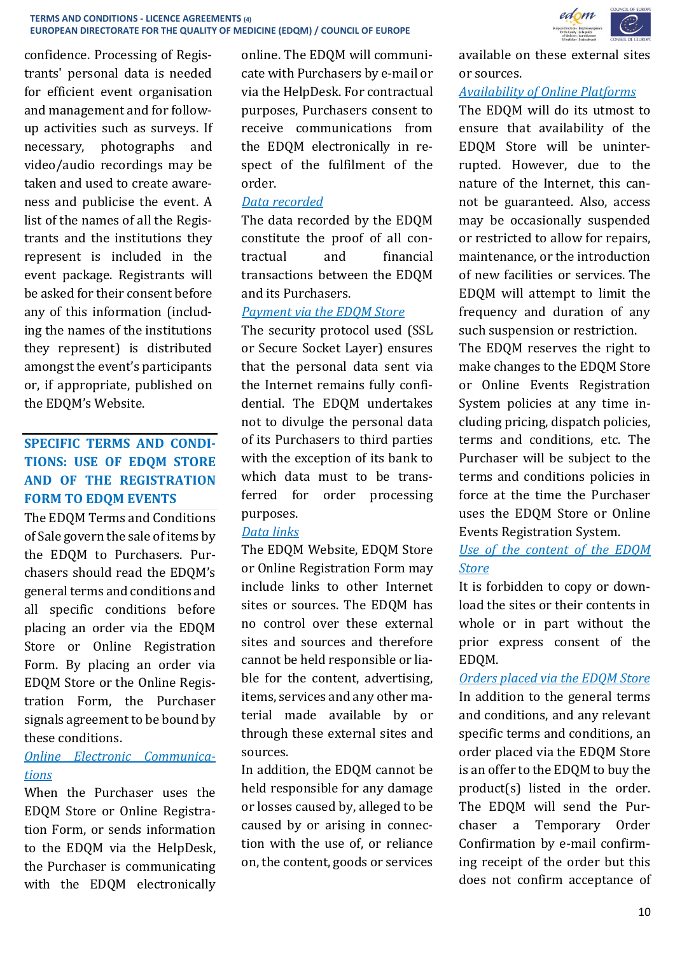confidence. Processing of Registrants' personal data is needed for efficient event organisation and management and for followup activities such as surveys. If necessary, photographs and video/audio recordings may be taken and used to create awareness and publicise the event. A list of the names of all the Registrants and the institutions they represent is included in the event package. Registrants will be asked for their consent before any of this information (including the names of the institutions they represent) is distributed amongst the event's participants or, if appropriate, published on the EDQM's Website.

# **SPECIFIC TERMS AND CONDI-TIONS: USE OF EDQM STORE AND OF THE REGISTRATION FORM TO EDQM EVENTS**

The EDQM Terms and Conditions of Sale govern the sale of items by the EDQM to Purchasers. Purchasers should read the EDQM's general terms and conditions and all specific conditions before placing an order via the EDQM Store or Online Registration Form. By placing an order via EDQM Store or the Online Registration Form, the Purchaser signals agreement to be bound by these conditions.

# *Online Electronic Communications*

When the Purchaser uses the EDQM Store or Online Registration Form, or sends information to the EDQM via the HelpDesk, the Purchaser is communicating with the EDQM electronically

online. The EDQM will communicate with Purchasers by e-mail or via the HelpDesk. For contractual purposes, Purchasers consent to receive communications from the EDQM electronically in respect of the fulfilment of the order.

### *Data recorded*

The data recorded by the EDQM constitute the proof of all contractual and financial transactions between the EDQM and its Purchasers.

## *Payment via the EDQM Store*

The security protocol used (SSL or Secure Socket Layer) ensures that the personal data sent via the Internet remains fully confidential. The EDQM undertakes not to divulge the personal data of its Purchasers to third parties with the exception of its bank to which data must to be transferred for order processing purposes.

# *Data links*

The EDQM Website, EDQM Store or Online Registration Form may include links to other Internet sites or sources. The EDQM has no control over these external sites and sources and therefore cannot be held responsible or liable for the content, advertising, items, services and any other material made available by or through these external sites and sources.

In addition, the EDQM cannot be held responsible for any damage or losses caused by, alleged to be caused by or arising in connection with the use of, or reliance on, the content, goods or services



available on these external sites or sources.

# *Availability of Online Platforms*

The EDQM will do its utmost to ensure that availability of the EDQM Store will be uninterrupted. However, due to the nature of the Internet, this cannot be guaranteed. Also, access may be occasionally suspended or restricted to allow for repairs, maintenance, or the introduction of new facilities or services. The EDQM will attempt to limit the frequency and duration of any such suspension or restriction.

The EDQM reserves the right to make changes to the EDQM Store or Online Events Registration System policies at any time including pricing, dispatch policies, terms and conditions, etc. The Purchaser will be subject to the terms and conditions policies in force at the time the Purchaser uses the EDQM Store or Online Events Registration System.

# *Use of the content of the EDQM Store*

It is forbidden to copy or download the sites or their contents in whole or in part without the prior express consent of the EDQM.

*Orders placed via the EDQM Store* In addition to the general terms and conditions, and any relevant specific terms and conditions, an order placed via the EDQM Store is an offer to the EDQM to buy the product(s) listed in the order. The EDQM will send the Purchaser a Temporary Order Confirmation by e-mail confirming receipt of the order but this does not confirm acceptance of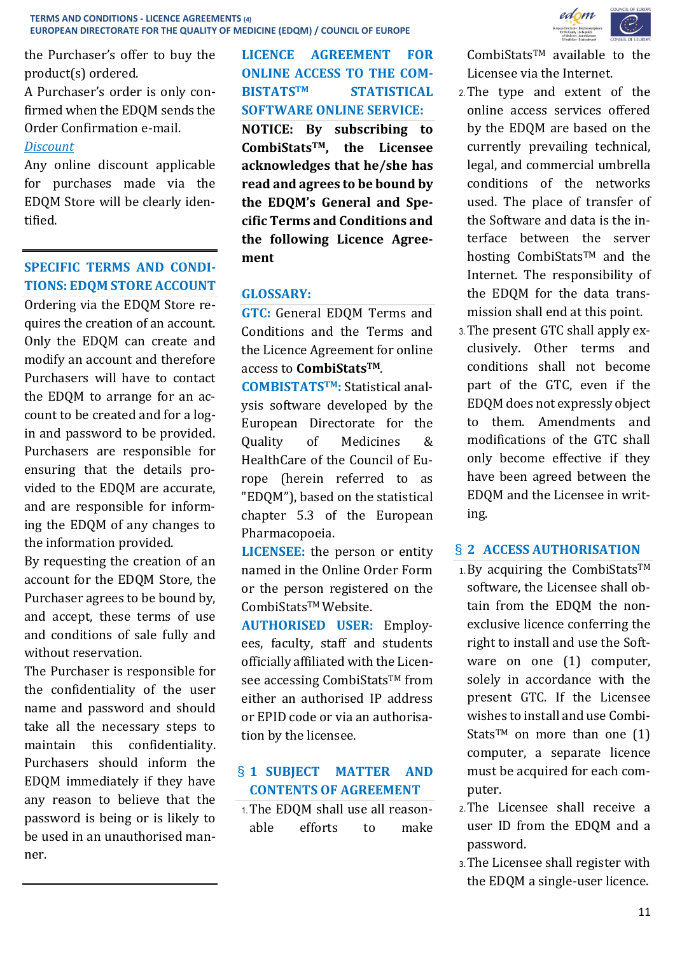the Purchaser's offer to buy the product(s) ordered.

A Purchaser's order is only confirmed when the EDQM sends the Order Confirmation e-mail.

### *Discount*

Any online discount applicable for purchases made via the EDQM Store will be clearly identified.

# **SPECIFIC TERMS AND CONDI-TIONS: EDQM STORE ACCOUNT**

Ordering via the EDQM Store requires the creation of an account. Only the EDQM can create and modify an account and therefore Purchasers will have to contact the EDQM to arrange for an account to be created and for a login and password to be provided. Purchasers are responsible for ensuring that the details provided to the EDQM are accurate, and are responsible for informing the EDQM of any changes to the information provided.

By requesting the creation of an account for the EDQM Store, the Purchaser agrees to be bound by, and accept, these terms of use and conditions of sale fully and without reservation.

The Purchaser is responsible for the confidentiality of the user name and password and should take all the necessary steps to maintain this confidentiality. Purchasers should inform the EDQM immediately if they have any reason to believe that the password is being or is likely to be used in an unauthorised manner.

**LICENCE AGREEMENT FOR ONLINE ACCESS TO THE COM-BISTATSTM STATISTICAL SOFTWARE ONLINE SERVICE: NOTICE: By subscribing to CombiStatsTM, the Licensee acknowledges that he/she has read and agrees to be bound by the EDQM's General and Specific Terms and Conditions and the following Licence Agreement**

# **GLOSSARY:**

**GTC:** General EDQM Terms and Conditions and the Terms and the Licence Agreement for online access to **CombiStatsTM**.

**COMBISTATSTM:** Statistical analysis software developed by the European Directorate for the Quality of Medicines & HealthCare of the Council of Europe (herein referred to as "EDQM"), based on the statistical chapter 5.3 of the European Pharmacopoeia.

**LICENSEE:** the person or entity named in the Online Order Form or the person registered on the CombiStatsTM Website.

**AUTHORISED USER:** Employees, faculty, staff and students officially affiliated with the Licensee accessing CombiStatsTM from either an authorised IP address or EPID code or via an authorisation by the licensee.

# § **1 SUBJECT MATTER AND CONTENTS OF AGREEMENT**

1.The EDQM shall use all reasonable efforts to make



 $CombiStats^{TM}$  available to the Licensee via the Internet.

- 2.The type and extent of the online access services offered by the EDQM are based on the currently prevailing technical, legal, and commercial umbrella conditions of the networks used. The place of transfer of the Software and data is the interface between the server hosting CombiStats™ and the Internet. The responsibility of the EDQM for the data transmission shall end at this point.
- 3.The present GTC shall apply exclusively. Other terms and conditions shall not become part of the GTC, even if the EDQM does not expressly object to them. Amendments and modifications of the GTC shall only become effective if they have been agreed between the EDQM and the Licensee in writing.

# § **2 ACCESS AUTHORISATION**

- $1.$  By acquiring the CombiStats<sup>TM</sup> software, the Licensee shall obtain from the EDQM the nonexclusive licence conferring the right to install and use the Software on one (1) computer, solely in accordance with the present GTC. If the Licensee wishes to install and use Combi-Stats<sup>TM</sup> on more than one  $(1)$ computer, a separate licence must be acquired for each computer.
- 2.The Licensee shall receive a user ID from the EDQM and a password.
- 3.The Licensee shall register with the EDQM a single-user licence.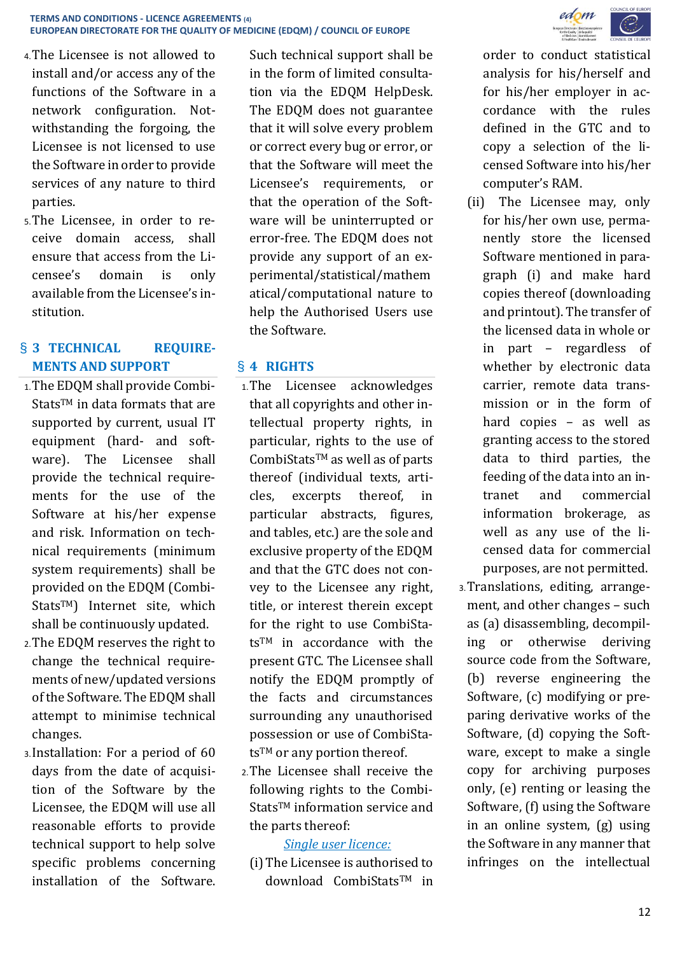- 4.The Licensee is not allowed to install and/or access any of the functions of the Software in a network configuration. Notwithstanding the forgoing, the Licensee is not licensed to use the Software in order to provide services of any nature to third parties.
- 5.The Licensee, in order to receive domain access, shall ensure that access from the Licensee's domain is only available from the Licensee's institution.

# § **3 TECHNICAL REQUIRE-MENTS AND SUPPORT**

- 1.The EDQM shall provide Combi-Stats™ in data formats that are supported by current, usual IT equipment (hard- and software). The Licensee shall provide the technical requirements for the use of the Software at his/her expense and risk. Information on technical requirements (minimum system requirements) shall be provided on the EDQM (Combi-StatsTM) Internet site, which shall be continuously updated.
- 2.The EDQM reserves the right to change the technical requirements of new/updated versions of the Software. The EDQM shall attempt to minimise technical changes.
- 3.Installation: For a period of 60 days from the date of acquisition of the Software by the Licensee, the EDQM will use all reasonable efforts to provide technical support to help solve specific problems concerning installation of the Software.

Such technical support shall be in the form of limited consultation via the EDQM HelpDesk. The EDQM does not guarantee that it will solve every problem or correct every bug or error, or that the Software will meet the Licensee's requirements, or that the operation of the Software will be uninterrupted or error-free. The EDQM does not provide any support of an experimental/statistical/mathem atical/computational nature to help the Authorised Users use the Software.

# § **4 RIGHTS**

- 1.The Licensee acknowledges that all copyrights and other intellectual property rights, in particular, rights to the use of CombiStatsTM as well as of parts thereof (individual texts, articles, excerpts thereof, in particular abstracts, figures, and tables, etc.) are the sole and exclusive property of the EDQM and that the GTC does not convey to the Licensee any right, title, or interest therein except for the right to use CombiStatsTM in accordance with the present GTC. The Licensee shall notify the EDQM promptly of the facts and circumstances surrounding any unauthorised possession or use of CombiSta $ts<sup>TM</sup>$  or any portion thereof.
- 2.The Licensee shall receive the following rights to the Combi-Stats<sup>™</sup> information service and the parts thereof:

# *Single user licence:*

(i)The Licensee is authorised to download CombiStatsTM in



order to conduct statistical analysis for his/herself and for his/her employer in accordance with the rules defined in the GTC and to copy a selection of the licensed Software into his/her computer's RAM.

- (ii) The Licensee may, only for his/her own use, permanently store the licensed Software mentioned in paragraph (i) and make hard copies thereof (downloading and printout). The transfer of the licensed data in whole or in part – regardless of whether by electronic data carrier, remote data transmission or in the form of hard copies – as well as granting access to the stored data to third parties, the feeding of the data into an intranet and commercial information brokerage, as well as any use of the licensed data for commercial purposes, are not permitted.
- 3.Translations, editing, arrangement, and other changes – such as (a) disassembling, decompiling or otherwise deriving source code from the Software, (b) reverse engineering the Software, (c) modifying or preparing derivative works of the Software, (d) copying the Software, except to make a single copy for archiving purposes only, (e) renting or leasing the Software, (f) using the Software in an online system, (g) using the Software in any manner that infringes on the intellectual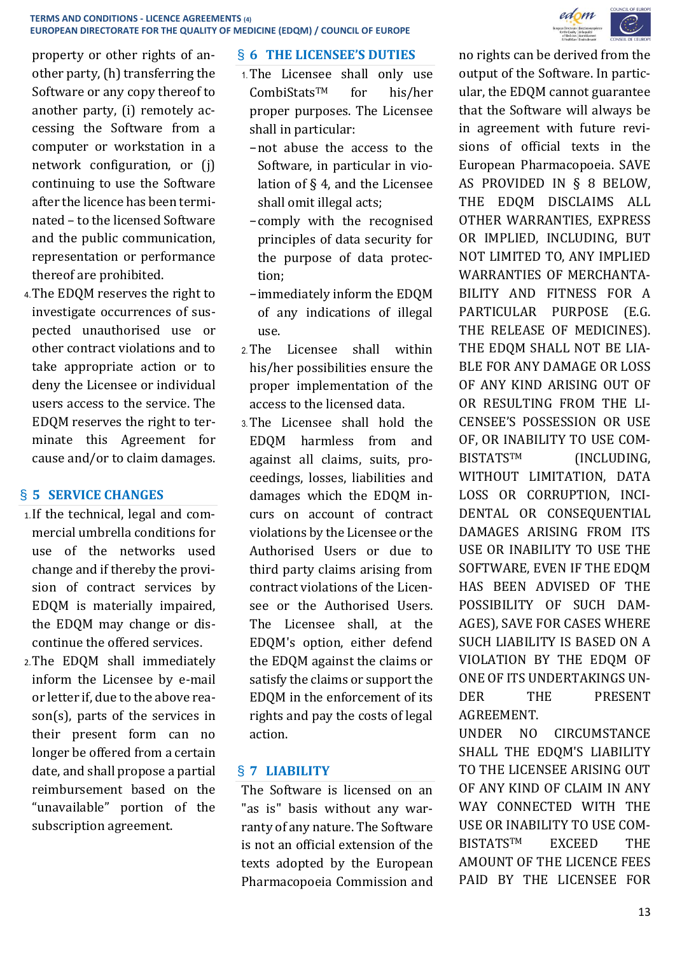

property or other rights of another party, (h) transferring the Software or any copy thereof to another party, (i) remotely accessing the Software from a computer or workstation in a network configuration, or (j) continuing to use the Software after the licence has been terminated – to the licensed Software and the public communication, representation or performance thereof are prohibited.

4.The EDQM reserves the right to investigate occurrences of suspected unauthorised use or other contract violations and to take appropriate action or to deny the Licensee or individual users access to the service. The EDQM reserves the right to terminate this Agreement for cause and/or to claim damages.

# § **5 SERVICE CHANGES**

- 1.If the technical, legal and commercial umbrella conditions for use of the networks used change and if thereby the provision of contract services by EDQM is materially impaired, the EDQM may change or discontinue the offered services.
- 2.The EDQM shall immediately inform the Licensee by e-mail or letter if, due to the above reason(s), parts of the services in their present form can no longer be offered from a certain date, and shall propose a partial reimbursement based on the "unavailable" portion of the subscription agreement.

## § **6 THE LICENSEE'S DUTIES**

- 1.The Licensee shall only use CombiStatsTM for his/her proper purposes. The Licensee shall in particular:
	- −not abuse the access to the Software, in particular in violation of § 4, and the Licensee shall omit illegal acts;
	- −comply with the recognised principles of data security for the purpose of data protection;
	- −immediately inform the EDQM of any indications of illegal use.
- 2.The Licensee shall within his/her possibilities ensure the proper implementation of the access to the licensed data.
- 3.The Licensee shall hold the EDQM harmless from and against all claims, suits, proceedings, losses, liabilities and damages which the EDQM incurs on account of contract violations by the Licensee or the Authorised Users or due to third party claims arising from contract violations of the Licensee or the Authorised Users. The Licensee shall, at the EDQM's option, either defend the EDQM against the claims or satisfy the claims or support the EDQM in the enforcement of its rights and pay the costs of legal action.

# § **7 LIABILITY**

The Software is licensed on an "as is" basis without any warranty of any nature. The Software is not an official extension of the texts adopted by the European Pharmacopoeia Commission and no rights can be derived from the output of the Software. In particular, the EDQM cannot guarantee that the Software will always be in agreement with future revisions of official texts in the European Pharmacopoeia. SAVE AS PROVIDED IN § 8 BELOW, THE EDQM DISCLAIMS ALL OTHER WARRANTIES, EXPRESS OR IMPLIED, INCLUDING, BUT NOT LIMITED TO, ANY IMPLIED WARRANTIES OF MERCHANTA-BILITY AND FITNESS FOR A PARTICULAR PURPOSE (E.G. THE RELEASE OF MEDICINES). THE EDOM SHALL NOT BE LIA-BLE FOR ANY DAMAGE OR LOSS OF ANY KIND ARISING OUT OF OR RESULTING FROM THE LI-CENSEE'S POSSESSION OR USE OF, OR INABILITY TO USE COM-BISTATSTM (INCLUDING, WITHOUT LIMITATION, DATA LOSS OR CORRUPTION, INCI-DENTAL OR CONSEQUENTIAL DAMAGES ARISING FROM ITS USE OR INABILITY TO USE THE SOFTWARE, EVEN IF THE EDQM HAS BEEN ADVISED OF THE POSSIBILITY OF SUCH DAM-AGES), SAVE FOR CASES WHERE SUCH LIABILITY IS BASED ON A VIOLATION BY THE EDQM OF ONE OF ITS UNDERTAKINGS UN-DER THE PRESENT AGREEMENT.

UNDER NO CIRCUMSTANCE SHALL THE EDQM'S LIABILITY TO THE LICENSEE ARISING OUT OF ANY KIND OF CLAIM IN ANY WAY CONNECTED WITH THE USE OR INABILITY TO USE COM-BISTATSTM EXCEED THE AMOUNT OF THE LICENCE FEES PAID BY THE LICENSEE FOR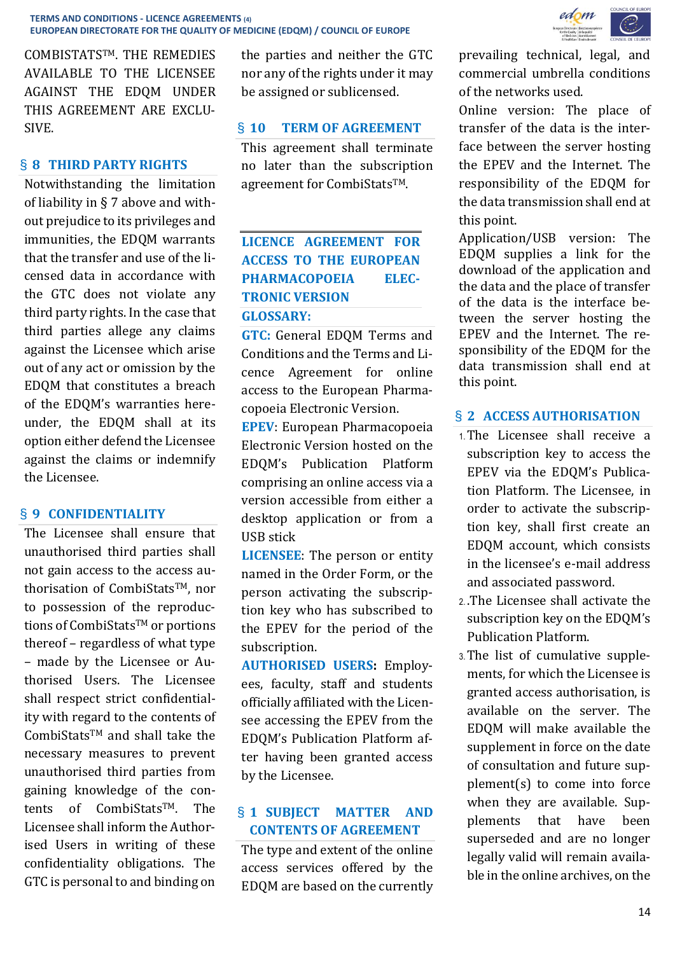edom

COMBISTATSTM. THE REMEDIES AVAILABLE TO THE LICENSEE AGAINST THE EDQM UNDER THIS AGREEMENT ARE EXCLU-SIVE.

## § **8 THIRD PARTY RIGHTS**

Notwithstanding the limitation of liability in § 7 above and without prejudice to its privileges and immunities, the EDQM warrants that the transfer and use of the licensed data in accordance with the GTC does not violate any third party rights. In the case that third parties allege any claims against the Licensee which arise out of any act or omission by the EDQM that constitutes a breach of the EDQM's warranties hereunder, the EDQM shall at its option either defend the Licensee against the claims or indemnify the Licensee.

### § **9 CONFIDENTIALITY**

The Licensee shall ensure that unauthorised third parties shall not gain access to the access authorisation of CombiStats™, nor to possession of the reproductions of CombiStats™ or portions thereof – regardless of what type – made by the Licensee or Authorised Users. The Licensee shall respect strict confidentiality with regard to the contents of CombiStatsTM and shall take the necessary measures to prevent unauthorised third parties from gaining knowledge of the contents of CombiStatsTM. The Licensee shall inform the Authorised Users in writing of these confidentiality obligations. The GTC is personal to and binding on the parties and neither the GTC nor any of the rights under it may be assigned or sublicensed.

### § **10 TERM OF AGREEMENT**

This agreement shall terminate no later than the subscription agreement for CombiStatsTM.

# **LICENCE AGREEMENT FOR ACCESS TO THE EUROPEAN PHARMACOPOEIA ELEC-TRONIC VERSION GLOSSARY:**

**GTC:** General EDQM Terms and Conditions and the Terms and Licence Agreement for online access to the European Pharmacopoeia Electronic Version.

**EPEV**: European Pharmacopoeia Electronic Version hosted on the EDQM's Publication Platform comprising an online access via a version accessible from either a desktop application or from a USB stick

**LICENSEE**: The person or entity named in the Order Form, or the person activating the subscription key who has subscribed to the EPEV for the period of the subscription.

**AUTHORISED USERS:** Employees, faculty, staff and students officially affiliated with the Licensee accessing the EPEV from the EDQM's Publication Platform after having been granted access by the Licensee.

# § **1 SUBJECT MATTER AND CONTENTS OF AGREEMENT**

The type and extent of the online access services offered by the EDQM are based on the currently prevailing technical, legal, and commercial umbrella conditions of the networks used.

Online version: The place of transfer of the data is the interface between the server hosting the EPEV and the Internet. The responsibility of the EDQM for the data transmission shall end at this point.

Application/USB version: The EDQM supplies a link for the download of the application and the data and the place of transfer of the data is the interface between the server hosting the EPEV and the Internet. The responsibility of the EDQM for the data transmission shall end at this point.

#### § **2 ACCESS AUTHORISATION**

- 1.The Licensee shall receive a subscription key to access the EPEV via the EDQM's Publication Platform. The Licensee, in order to activate the subscription key, shall first create an EDQM account, which consists in the licensee's e-mail address and associated password.
- 2. .The Licensee shall activate the subscription key on the EDQM's Publication Platform.
- 3.The list of cumulative supplements, for which the Licensee is granted access authorisation, is available on the server. The EDQM will make available the supplement in force on the date of consultation and future supplement(s) to come into force when they are available. Supplements that have been superseded and are no longer legally valid will remain available in the online archives, on the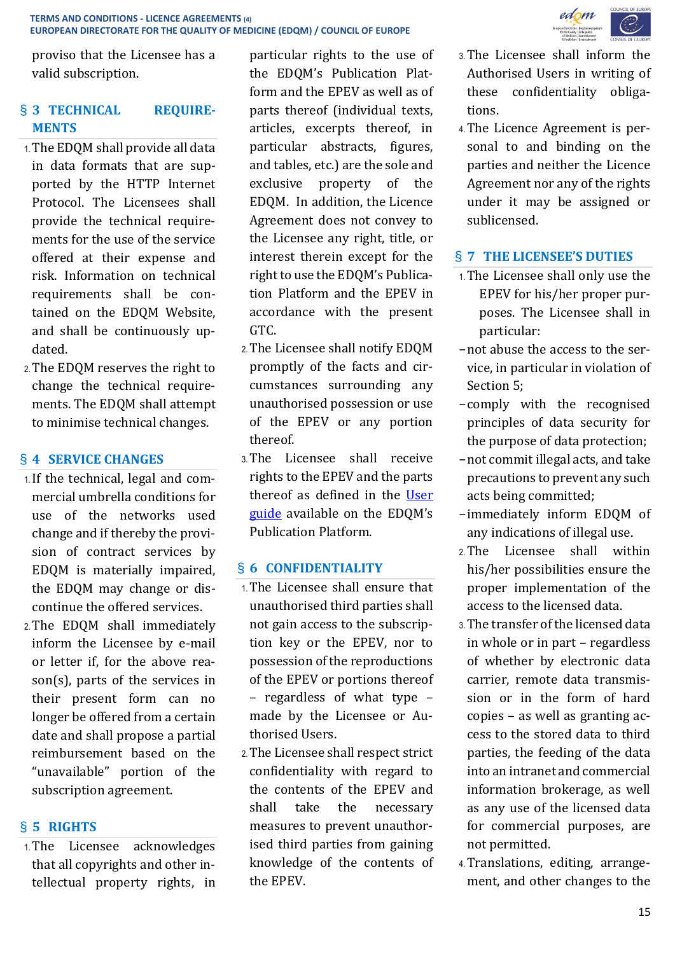proviso that the Licensee has a valid subscription.

# § **3 TECHNICAL REQUIRE-MENTS**

- 1.The EDQM shall provide all data in data formats that are supported by the HTTP Internet Protocol. The Licensees shall provide the technical requirements for the use of the service offered at their expense and risk. Information on technical requirements shall be contained on the EDQM Website, and shall be continuously updated.
- 2.The EDQM reserves the right to change the technical requirements. The EDQM shall attempt to minimise technical changes.

# § **4 SERVICE CHANGES**

- 1.If the technical, legal and commercial umbrella conditions for use of the networks used change and if thereby the provision of contract services by EDQM is materially impaired, the EDQM may change or discontinue the offered services.
- 2.The EDQM shall immediately inform the Licensee by e-mail or letter if, for the above reason(s), parts of the services in their present form can no longer be offered from a certain date and shall propose a partial reimbursement based on the "unavailable" portion of the subscription agreement.

# § **5 RIGHTS**

1.The Licensee acknowledges that all copyrights and other intellectual property rights, in particular rights to the use of the EDQM's Publication Platform and the EPEV as well as of parts thereof (individual texts, articles, excerpts thereof, in particular abstracts, figures, and tables, etc.) are the sole and exclusive property of the EDQM. In addition, the Licence Agreement does not convey to the Licensee any right, title, or interest therein except for the right to use the EDQM's Publication Platform and the EPEV in accordance with the present GTC.

- 2.The Licensee shall notify EDQM promptly of the facts and circumstances surrounding any unauthorised possession or use of the EPEV or any portion thereof.
- 3.The Licensee shall receive rights to the EPEV and the parts thereof as defined in the [User](https://pheur.edqm.eu/media/guides/1_en.pdf)  [guide](https://pheur.edqm.eu/media/guides/1_en.pdf) available on the EDQM's Publication Platform.

### § **6 CONFIDENTIALITY**

- 1.The Licensee shall ensure that unauthorised third parties shall not gain access to the subscription key or the EPEV, nor to possession of the reproductions of the EPEV or portions thereof – regardless of what type – made by the Licensee or Authorised Users.
- 2.The Licensee shall respect strict confidentiality with regard to the contents of the EPEV and shall take the necessary measures to prevent unauthorised third parties from gaining knowledge of the contents of the EPEV.



- 3.The Licensee shall inform the Authorised Users in writing of these confidentiality obligations.
- 4.The Licence Agreement is personal to and binding on the parties and neither the Licence Agreement nor any of the rights under it may be assigned or sublicensed.

# § **7 THE LICENSEE'S DUTIES**

- 1.The Licensee shall only use the EPEV for his/her proper purposes. The Licensee shall in particular:
- −not abuse the access to the service, in particular in violation of Section 5;
- −comply with the recognised principles of data security for the purpose of data protection;
- −not commit illegal acts, and take precautions to prevent any such acts being committed;
- −immediately inform EDQM of any indications of illegal use.
- 2.The Licensee shall within his/her possibilities ensure the proper implementation of the access to the licensed data.
- 3.The transfer of the licensed data in whole or in part – regardless of whether by electronic data carrier, remote data transmission or in the form of hard copies – as well as granting access to the stored data to third parties, the feeding of the data into an intranet and commercial information brokerage, as well as any use of the licensed data for commercial purposes, are not permitted.
- 4.Translations, editing, arrangement, and other changes to the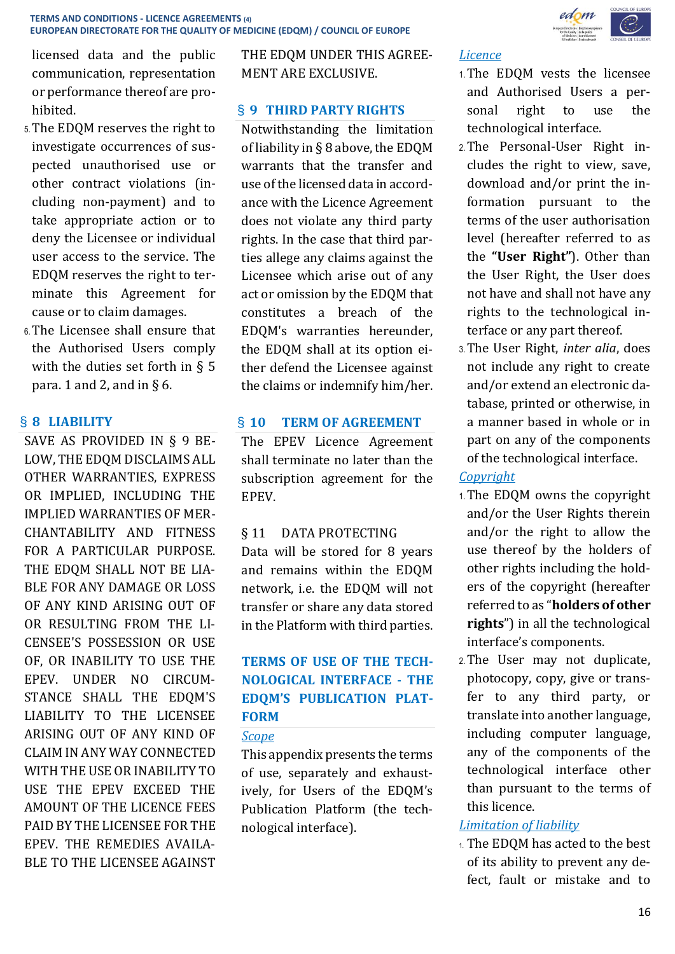licensed data and the public communication, representation or performance thereof are prohibited.

- 5.The EDQM reserves the right to investigate occurrences of suspected unauthorised use or other contract violations (including non-payment) and to take appropriate action or to deny the Licensee or individual user access to the service. The EDQM reserves the right to terminate this Agreement for cause or to claim damages.
- 6.The Licensee shall ensure that the Authorised Users comply with the duties set forth in § 5 para. 1 and 2, and in  $\S$  6.

# § **8 LIABILITY**

SAVE AS PROVIDED IN § 9 BE-LOW, THE EDQM DISCLAIMS ALL OTHER WARRANTIES, EXPRESS OR IMPLIED, INCLUDING THE IMPLIED WARRANTIES OF MER-CHANTABILITY AND FITNESS FOR A PARTICULAR PURPOSE. THE EDOM SHALL NOT BE LIA-BLE FOR ANY DAMAGE OR LOSS OF ANY KIND ARISING OUT OF OR RESULTING FROM THE LI-CENSEE'S POSSESSION OR USE OF, OR INABILITY TO USE THE EPEV. UNDER NO CIRCUM-STANCE SHALL THE EDQM'S LIABILITY TO THE LICENSEE ARISING OUT OF ANY KIND OF CLAIM IN ANY WAY CONNECTED WITH THE USE OR INABILITY TO USE THE EPEV EXCEED THE AMOUNT OF THE LICENCE FEES PAID BY THE LICENSEE FOR THE EPEV. THE REMEDIES AVAILA-BLE TO THE LICENSEE AGAINST

THE EDQM UNDER THIS AGREE-MENT ARE EXCLUSIVE.

# § **9 THIRD PARTY RIGHTS**

Notwithstanding the limitation of liability in § 8 above, the EDQM warrants that the transfer and use of the licensed data in accordance with the Licence Agreement does not violate any third party rights. In the case that third parties allege any claims against the Licensee which arise out of any act or omission by the EDQM that constitutes a breach of the EDQM's warranties hereunder, the EDQM shall at its option either defend the Licensee against the claims or indemnify him/her.

# § **10 TERM OF AGREEMENT**

The EPEV Licence Agreement shall terminate no later than the subscription agreement for the EPEV.

# § 11 DATA PROTECTING

Data will be stored for 8 years and remains within the EDQM network, i.e. the EDQM will not transfer or share any data stored in the Platform with third parties.

# **TERMS OF USE OF THE TECH-NOLOGICAL INTERFACE - THE EDQM'S PUBLICATION PLAT-FORM**

### *Scope*

This appendix presents the terms of use, separately and exhaustively, for Users of the EDQM's Publication Platform (the technological interface).

#### *Licence*

- 1.The EDQM vests the licensee and Authorised Users a personal right to use the technological interface.
- 2.The Personal-User Right includes the right to view, save, download and/or print the information pursuant to the terms of the user authorisation level (hereafter referred to as the **"User Right"**). Other than the User Right, the User does not have and shall not have any rights to the technological interface or any part thereof.
- 3.The User Right, *inter alia*, does not include any right to create and/or extend an electronic database, printed or otherwise, in a manner based in whole or in part on any of the components of the technological interface.

# *Copyright*

- 1.The EDQM owns the copyright and/or the User Rights therein and/or the right to allow the use thereof by the holders of other rights including the holders of the copyright (hereafter referred to as "**holders of other rights**") in all the technological interface's components.
- 2.The User may not duplicate, photocopy, copy, give or transfer to any third party, or translate into another language, including computer language, any of the components of the technological interface other than pursuant to the terms of this licence.

# *Limitation of liability*

1. The EDQM has acted to the best of its ability to prevent any defect, fault or mistake and to